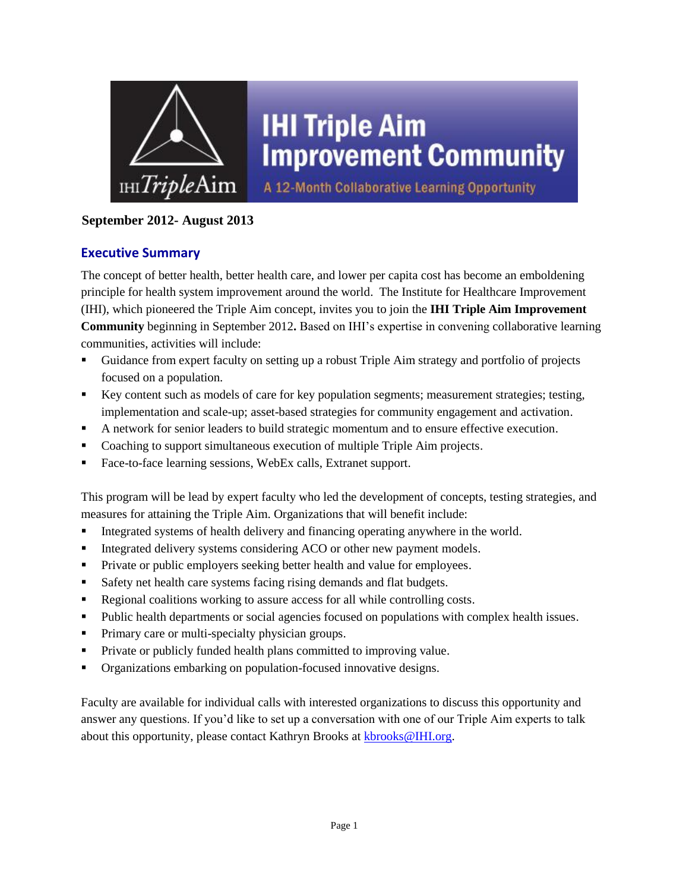

## **September 2012- August 2013**

#### **Executive Summary**

The concept of better health, better health care, and lower per capita cost has become an emboldening principle for health system improvement around the world. The Institute for Healthcare Improvement (IHI), which pioneered the Triple Aim concept, invites you to join the **IHI Triple Aim Improvement Community** beginning in September 2012**.** Based on IHI's expertise in convening collaborative learning communities, activities will include:

- Guidance from expert faculty on setting up a robust Triple Aim strategy and portfolio of projects focused on a population.
- Key content such as models of care for key population segments; measurement strategies; testing, implementation and scale-up; asset-based strategies for community engagement and activation.
- A network for senior leaders to build strategic momentum and to ensure effective execution.
- Coaching to support simultaneous execution of multiple Triple Aim projects.
- Face-to-face learning sessions, WebEx calls, Extranet support.

This program will be lead by expert faculty who led the development of concepts, testing strategies, and measures for attaining the Triple Aim. Organizations that will benefit include:

- Integrated systems of health delivery and financing operating anywhere in the world.
- Integrated delivery systems considering ACO or other new payment models.
- **Private or public employers seeking better health and value for employees.**
- Safety net health care systems facing rising demands and flat budgets.
- Regional coalitions working to assure access for all while controlling costs.
- Public health departments or social agencies focused on populations with complex health issues.
- **Primary care or multi-specialty physician groups.**
- **Private or publicly funded health plans committed to improving value.**
- Organizations embarking on population-focused innovative designs.

Faculty are available for individual calls with interested organizations to discuss this opportunity and answer any questions. If you'd like to set up a conversation with one of our Triple Aim experts to talk about this opportunity, please contact Kathryn Brooks at [kbrooks@IHI.org.](mailto:kbrooks@IHI.org)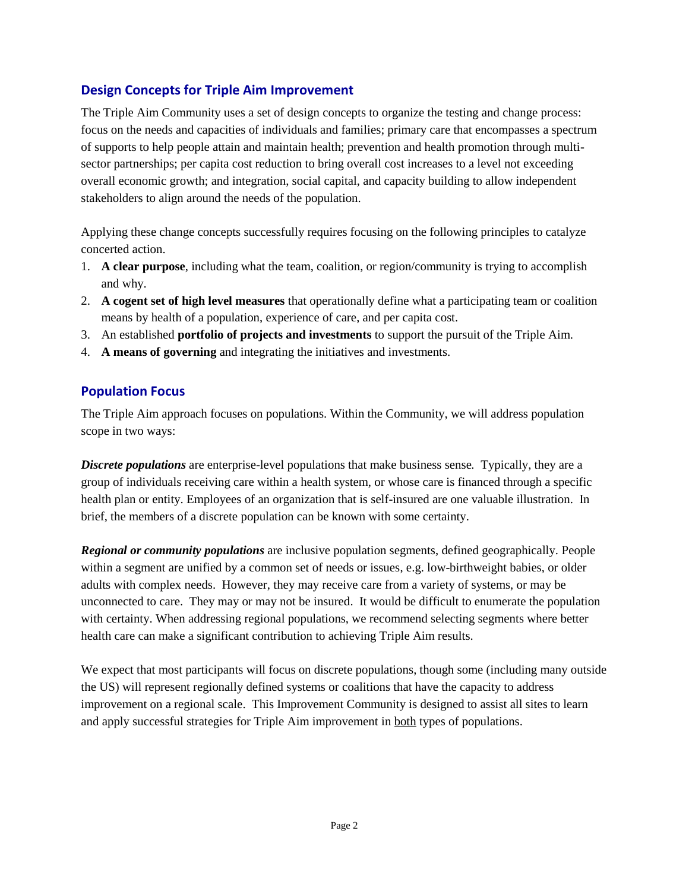#### **Design Concepts for Triple Aim Improvement**

The Triple Aim Community uses a set of design concepts to organize the testing and change process: focus on the needs and capacities of individuals and families; primary care that encompasses a spectrum of supports to help people attain and maintain health; prevention and health promotion through multisector partnerships; per capita cost reduction to bring overall cost increases to a level not exceeding overall economic growth; and integration, social capital, and capacity building to allow independent stakeholders to align around the needs of the population.

Applying these change concepts successfully requires focusing on the following principles to catalyze concerted action.

- 1. **A clear purpose**, including what the team, coalition, or region/community is trying to accomplish and why.
- 2. **A cogent set of high level measures** that operationally define what a participating team or coalition means by health of a population, experience of care, and per capita cost.
- 3. An established **portfolio of projects and investments** to support the pursuit of the Triple Aim.
- 4. **A means of governing** and integrating the initiatives and investments.

## **Population Focus**

The Triple Aim approach focuses on populations. Within the Community, we will address population scope in two ways:

*Discrete populations* are enterprise-level populations that make business sense*.* Typically, they are a group of individuals receiving care within a health system, or whose care is financed through a specific health plan or entity. Employees of an organization that is self-insured are one valuable illustration. In brief, the members of a discrete population can be known with some certainty.

*Regional or community populations* are inclusive population segments, defined geographically. People within a segment are unified by a common set of needs or issues, e.g. low-birthweight babies, or older adults with complex needs. However, they may receive care from a variety of systems, or may be unconnected to care. They may or may not be insured. It would be difficult to enumerate the population with certainty. When addressing regional populations, we recommend selecting segments where better health care can make a significant contribution to achieving Triple Aim results.

We expect that most participants will focus on discrete populations, though some (including many outside the US) will represent regionally defined systems or coalitions that have the capacity to address improvement on a regional scale. This Improvement Community is designed to assist all sites to learn and apply successful strategies for Triple Aim improvement in both types of populations.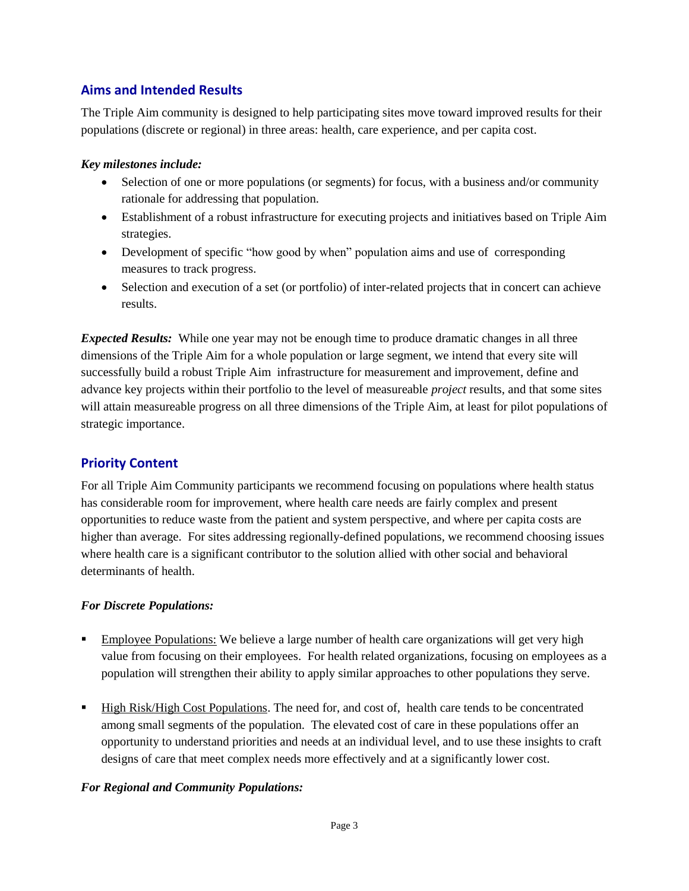## **Aims and Intended Results**

The Triple Aim community is designed to help participating sites move toward improved results for their populations (discrete or regional) in three areas: health, care experience, and per capita cost.

#### *Key milestones include:*

- Selection of one or more populations (or segments) for focus, with a business and/or community rationale for addressing that population.
- Establishment of a robust infrastructure for executing projects and initiatives based on Triple Aim strategies.
- Development of specific "how good by when" population aims and use of corresponding measures to track progress.
- Selection and execution of a set (or portfolio) of inter-related projects that in concert can achieve results.

*Expected Results:* While one year may not be enough time to produce dramatic changes in all three dimensions of the Triple Aim for a whole population or large segment, we intend that every site will successfully build a robust Triple Aim infrastructure for measurement and improvement, define and advance key projects within their portfolio to the level of measureable *project* results, and that some sites will attain measureable progress on all three dimensions of the Triple Aim, at least for pilot populations of strategic importance.

#### **Priority Content**

For all Triple Aim Community participants we recommend focusing on populations where health status has considerable room for improvement, where health care needs are fairly complex and present opportunities to reduce waste from the patient and system perspective, and where per capita costs are higher than average. For sites addressing regionally-defined populations, we recommend choosing issues where health care is a significant contributor to the solution allied with other social and behavioral determinants of health.

#### *For Discrete Populations:*

- Employee Populations: We believe a large number of health care organizations will get very high value from focusing on their employees. For health related organizations, focusing on employees as a population will strengthen their ability to apply similar approaches to other populations they serve.
- High Risk/High Cost Populations. The need for, and cost of, health care tends to be concentrated among small segments of the population. The elevated cost of care in these populations offer an opportunity to understand priorities and needs at an individual level, and to use these insights to craft designs of care that meet complex needs more effectively and at a significantly lower cost.

#### *For Regional and Community Populations:*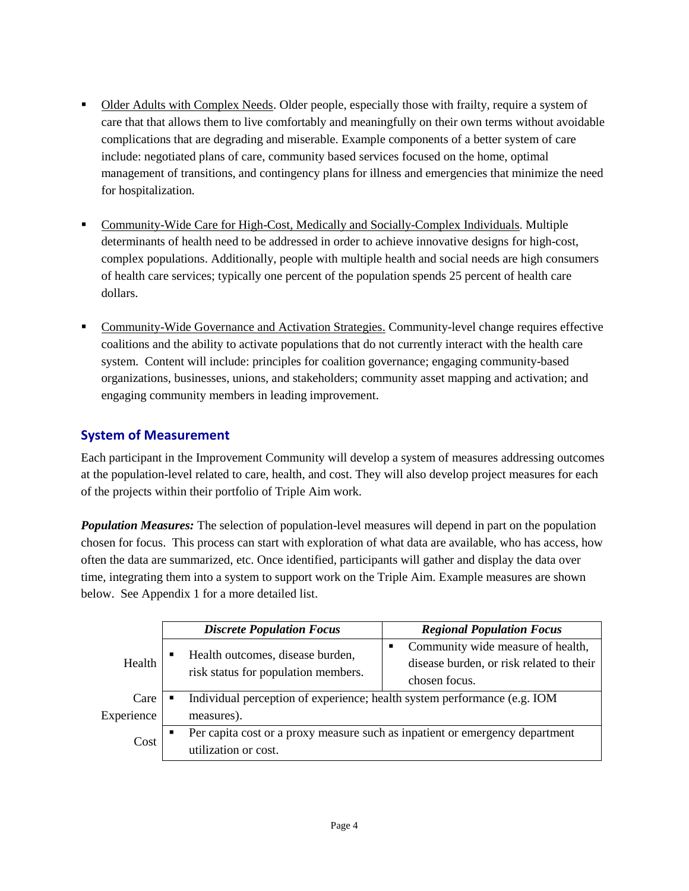- Older Adults with Complex Needs. Older people, especially those with frailty, require a system of care that that allows them to live comfortably and meaningfully on their own terms without avoidable complications that are degrading and miserable. Example components of a better system of care include: negotiated plans of care, community based services focused on the home, optimal management of transitions, and contingency plans for illness and emergencies that minimize the need for hospitalization.
- Community-Wide Care for High-Cost, Medically and Socially-Complex Individuals. Multiple determinants of health need to be addressed in order to achieve innovative designs for high-cost, complex populations. Additionally, people with multiple health and social needs are high consumers of health care services; typically one percent of the population spends 25 percent of health care dollars.
- Community-Wide Governance and Activation Strategies. Community-level change requires effective coalitions and the ability to activate populations that do not currently interact with the health care system. Content will include: principles for coalition governance; engaging community-based organizations, businesses, unions, and stakeholders; community asset mapping and activation; and engaging community members in leading improvement.

## **System of Measurement**

Each participant in the Improvement Community will develop a system of measures addressing outcomes at the population-level related to care, health, and cost. They will also develop project measures for each of the projects within their portfolio of Triple Aim work.

*Population Measures:* The selection of population-level measures will depend in part on the population chosen for focus. This process can start with exploration of what data are available, who has access, how often the data are summarized, etc. Once identified, participants will gather and display the data over time, integrating them into a system to support work on the Triple Aim. Example measures are shown below. See Appendix 1 for a more detailed list.

|            |                | <b>Discrete Population Focus</b>                                                                     |                | <b>Regional Population Focus</b>                                                               |  |  |  |
|------------|----------------|------------------------------------------------------------------------------------------------------|----------------|------------------------------------------------------------------------------------------------|--|--|--|
| Health     | п              | Health outcomes, disease burden,<br>risk status for population members.                              | $\blacksquare$ | Community wide measure of health,<br>disease burden, or risk related to their<br>chosen focus. |  |  |  |
| Care       |                | Individual perception of experience; health system performance (e.g. IOM                             |                |                                                                                                |  |  |  |
| Experience |                | measures).                                                                                           |                |                                                                                                |  |  |  |
| Cost       | $\blacksquare$ | Per capita cost or a proxy measure such as inpatient or emergency department<br>utilization or cost. |                |                                                                                                |  |  |  |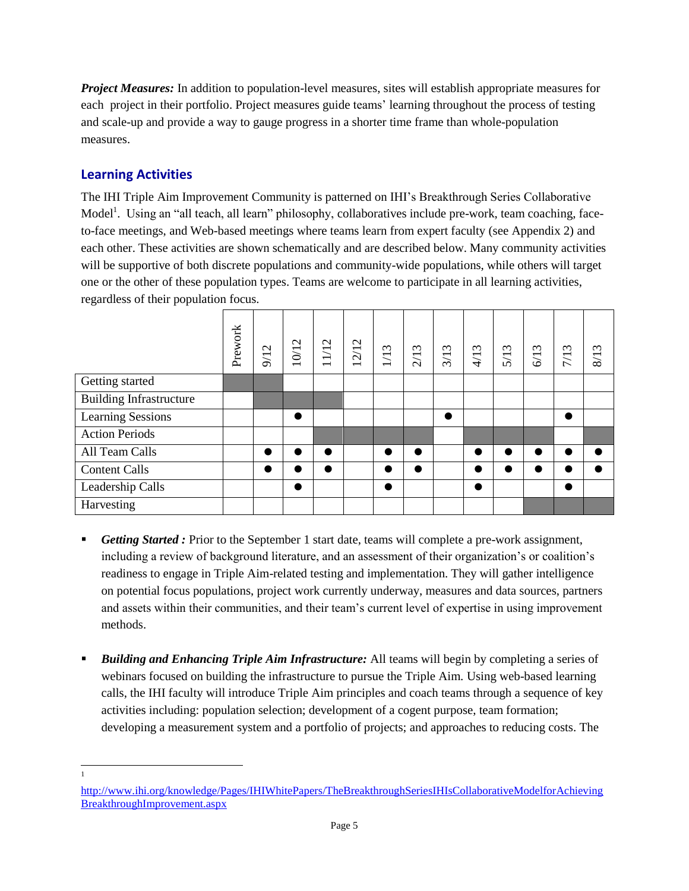*Project Measures:* In addition to population-level measures, sites will establish appropriate measures for each project in their portfolio. Project measures guide teams' learning throughout the process of testing and scale-up and provide a way to gauge progress in a shorter time frame than whole-population measures.

## **Learning Activities**

The IHI Triple Aim Improvement Community is patterned on IHI's Breakthrough Series Collaborative Model<sup>1</sup>. Using an "all teach, all learn" philosophy, collaboratives include pre-work, team coaching, faceto-face meetings, and Web-based meetings where teams learn from expert faculty (see Appendix 2) and each other. These activities are shown schematically and are described below. Many community activities will be supportive of both discrete populations and community-wide populations, while others will target one or the other of these population types. Teams are welcome to participate in all learning activities, regardless of their population focus.

|                                | Prework | 9/12      | 10/12     | $\mathbf{\sim}$<br>$\overline{11}$<br>$\overline{\phantom{0}}$ | $\mathbf{\Omega}$<br>21<br>$\overline{\phantom{0}}$ | $\omega$<br>$\overline{11}$ | $\omega$<br>$\overline{21}$ | $\omega$<br>3/1 | $\mathfrak{g}$<br>4/1 | $\mathfrak{c}$<br>5/1 | $\epsilon$<br>6/1 | 7/13      | $\omega$<br>$\infty$ |
|--------------------------------|---------|-----------|-----------|----------------------------------------------------------------|-----------------------------------------------------|-----------------------------|-----------------------------|-----------------|-----------------------|-----------------------|-------------------|-----------|----------------------|
| Getting started                |         |           |           |                                                                |                                                     |                             |                             |                 |                       |                       |                   |           |                      |
| <b>Building Infrastructure</b> |         |           |           |                                                                |                                                     |                             |                             |                 |                       |                       |                   |           |                      |
| <b>Learning Sessions</b>       |         |           | $\bullet$ |                                                                |                                                     |                             |                             | $\bullet$       |                       |                       |                   | $\bullet$ |                      |
| <b>Action Periods</b>          |         |           |           |                                                                |                                                     |                             |                             |                 |                       |                       |                   |           |                      |
| All Team Calls                 |         | $\bullet$ |           |                                                                |                                                     |                             | ●                           |                 |                       |                       |                   | ●         |                      |
| <b>Content Calls</b>           |         | $\bullet$ |           |                                                                |                                                     |                             | ●                           |                 |                       |                       |                   | ●         |                      |
| Leadership Calls               |         |           |           |                                                                |                                                     | $\bullet$                   |                             |                 | $\bullet$             |                       |                   | $\bullet$ |                      |
| Harvesting                     |         |           |           |                                                                |                                                     |                             |                             |                 |                       |                       |                   |           |                      |

- **F** Getting Started: Prior to the September 1 start date, teams will complete a pre-work assignment, including a review of background literature, and an assessment of their organization's or coalition's readiness to engage in Triple Aim-related testing and implementation. They will gather intelligence on potential focus populations, project work currently underway, measures and data sources, partners and assets within their communities, and their team's current level of expertise in using improvement methods.
- *Building and Enhancing Triple Aim Infrastructure:* All teams will begin by completing a series of webinars focused on building the infrastructure to pursue the Triple Aim. Using web-based learning calls, the IHI faculty will introduce Triple Aim principles and coach teams through a sequence of key activities including: population selection; development of a cogent purpose, team formation; developing a measurement system and a portfolio of projects; and approaches to reducing costs. The

l 1

[http://www.ihi.org/knowledge/Pages/IHIWhitePapers/TheBreakthroughSeriesIHIsCollaborativeModelforAchieving](http://www.ihi.org/knowledge/Pages/IHIWhitePapers/TheBreakthroughSeriesIHIsCollaborativeModelforAchievingBreakthroughImprovement.aspx) [BreakthroughImprovement.aspx](http://www.ihi.org/knowledge/Pages/IHIWhitePapers/TheBreakthroughSeriesIHIsCollaborativeModelforAchievingBreakthroughImprovement.aspx)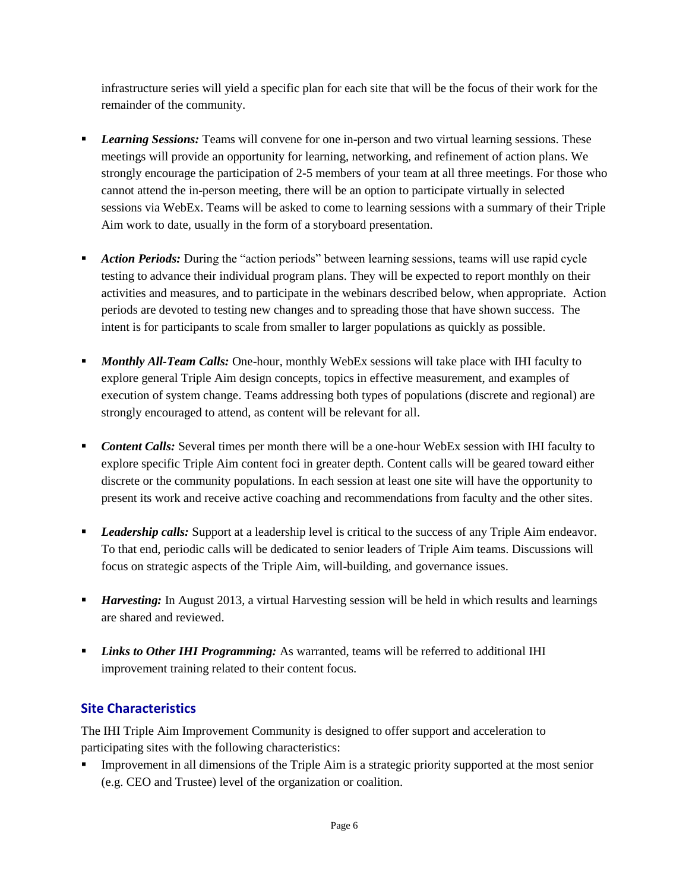infrastructure series will yield a specific plan for each site that will be the focus of their work for the remainder of the community.

- **Learning Sessions:** Teams will convene for one in-person and two virtual learning sessions. These meetings will provide an opportunity for learning, networking, and refinement of action plans. We strongly encourage the participation of 2-5 members of your team at all three meetings. For those who cannot attend the in-person meeting, there will be an option to participate virtually in selected sessions via WebEx. Teams will be asked to come to learning sessions with a summary of their Triple Aim work to date, usually in the form of a storyboard presentation.
- **Action Periods:** During the "action periods" between learning sessions, teams will use rapid cycle testing to advance their individual program plans. They will be expected to report monthly on their activities and measures, and to participate in the webinars described below, when appropriate. Action periods are devoted to testing new changes and to spreading those that have shown success. The intent is for participants to scale from smaller to larger populations as quickly as possible.
- **Monthly All-Team Calls:** One-hour, monthly WebEx sessions will take place with IHI faculty to explore general Triple Aim design concepts, topics in effective measurement, and examples of execution of system change. Teams addressing both types of populations (discrete and regional) are strongly encouraged to attend, as content will be relevant for all.
- **Content Calls:** Several times per month there will be a one-hour WebEx session with IHI faculty to explore specific Triple Aim content foci in greater depth. Content calls will be geared toward either discrete or the community populations. In each session at least one site will have the opportunity to present its work and receive active coaching and recommendations from faculty and the other sites.
- **Leadership calls:** Support at a leadership level is critical to the success of any Triple Aim endeavor. To that end, periodic calls will be dedicated to senior leaders of Triple Aim teams. Discussions will focus on strategic aspects of the Triple Aim, will-building, and governance issues.
- *Harvesting:* In August 2013, a virtual Harvesting session will be held in which results and learnings are shared and reviewed.
- *Links to Other IHI Programming:* As warranted, teams will be referred to additional IHI improvement training related to their content focus.

# **Site Characteristics**

The IHI Triple Aim Improvement Community is designed to offer support and acceleration to participating sites with the following characteristics:

 Improvement in all dimensions of the Triple Aim is a strategic priority supported at the most senior (e.g. CEO and Trustee) level of the organization or coalition.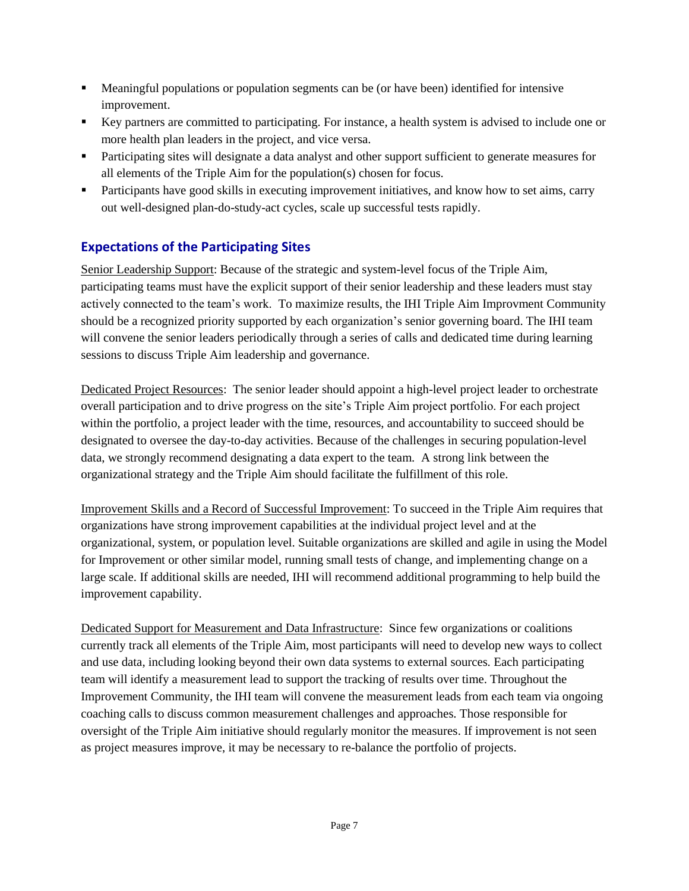- Meaningful populations or population segments can be (or have been) identified for intensive improvement.
- Key partners are committed to participating. For instance, a health system is advised to include one or more health plan leaders in the project, and vice versa.
- Participating sites will designate a data analyst and other support sufficient to generate measures for all elements of the Triple Aim for the population(s) chosen for focus.
- Participants have good skills in executing improvement initiatives, and know how to set aims, carry out well-designed plan-do-study-act cycles, scale up successful tests rapidly.

## **Expectations of the Participating Sites**

Senior Leadership Support: Because of the strategic and system-level focus of the Triple Aim, participating teams must have the explicit support of their senior leadership and these leaders must stay actively connected to the team's work. To maximize results, the IHI Triple Aim Improvment Community should be a recognized priority supported by each organization's senior governing board. The IHI team will convene the senior leaders periodically through a series of calls and dedicated time during learning sessions to discuss Triple Aim leadership and governance.

Dedicated Project Resources: The senior leader should appoint a high-level project leader to orchestrate overall participation and to drive progress on the site's Triple Aim project portfolio. For each project within the portfolio, a project leader with the time, resources, and accountability to succeed should be designated to oversee the day-to-day activities. Because of the challenges in securing population-level data, we strongly recommend designating a data expert to the team. A strong link between the organizational strategy and the Triple Aim should facilitate the fulfillment of this role.

Improvement Skills and a Record of Successful Improvement: To succeed in the Triple Aim requires that organizations have strong improvement capabilities at the individual project level and at the organizational, system, or population level. Suitable organizations are skilled and agile in using the Model for Improvement or other similar model, running small tests of change, and implementing change on a large scale. If additional skills are needed, IHI will recommend additional programming to help build the improvement capability.

Dedicated Support for Measurement and Data Infrastructure: Since few organizations or coalitions currently track all elements of the Triple Aim, most participants will need to develop new ways to collect and use data, including looking beyond their own data systems to external sources. Each participating team will identify a measurement lead to support the tracking of results over time. Throughout the Improvement Community, the IHI team will convene the measurement leads from each team via ongoing coaching calls to discuss common measurement challenges and approaches. Those responsible for oversight of the Triple Aim initiative should regularly monitor the measures. If improvement is not seen as project measures improve, it may be necessary to re-balance the portfolio of projects.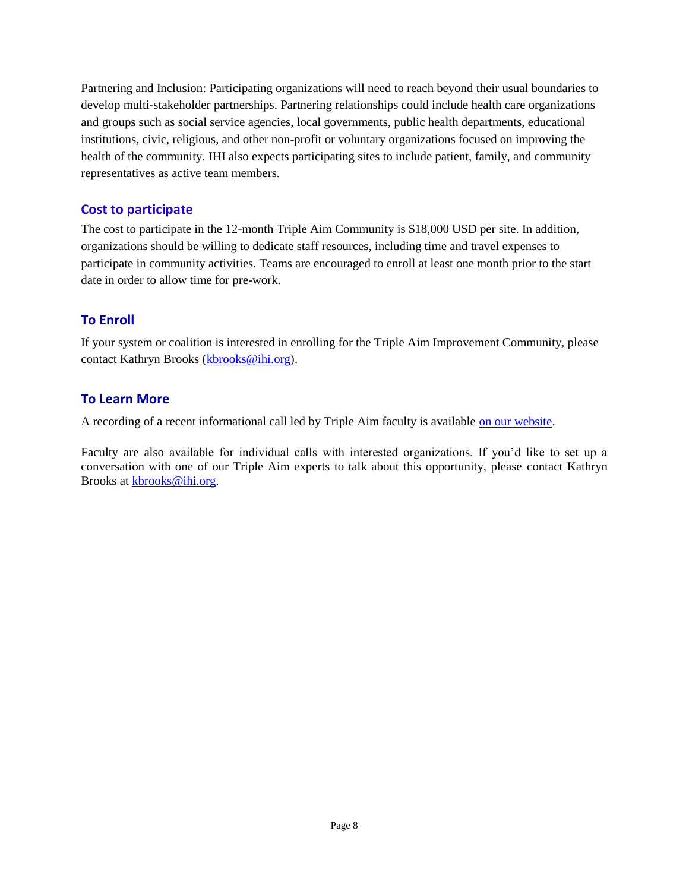Partnering and Inclusion: Participating organizations will need to reach beyond their usual boundaries to develop multi-stakeholder partnerships. Partnering relationships could include health care organizations and groups such as social service agencies, local governments, public health departments, educational institutions, civic, religious, and other non-profit or voluntary organizations focused on improving the health of the community. IHI also expects participating sites to include patient, family, and community representatives as active team members.

#### **Cost to participate**

The cost to participate in the 12-month Triple Aim Community is \$18,000 USD per site. In addition, organizations should be willing to dedicate staff resources, including time and travel expenses to participate in community activities. Teams are encouraged to enroll at least one month prior to the start date in order to allow time for pre-work.

## **To Enroll**

If your system or coalition is interested in enrolling for the Triple Aim Improvement Community, please contact Kathryn Brooks [\(kbrooks@ihi.org\)](mailto:kbrooks@ihi.org).

#### **To Learn More**

A recording of a recent informational call led by Triple Aim faculty is available [on our website.](http://www.ihi.org/offerings/MembershipsNetworks/collaboratives/TripleAimImprovementCommunity/Pages/default.aspx)

Faculty are also available for individual calls with interested organizations. If you'd like to set up a conversation with one of our Triple Aim experts to talk about this opportunity, please contact Kathryn Brooks at [kbrooks@ihi.org.](mailto:kbrooks@ihi.org)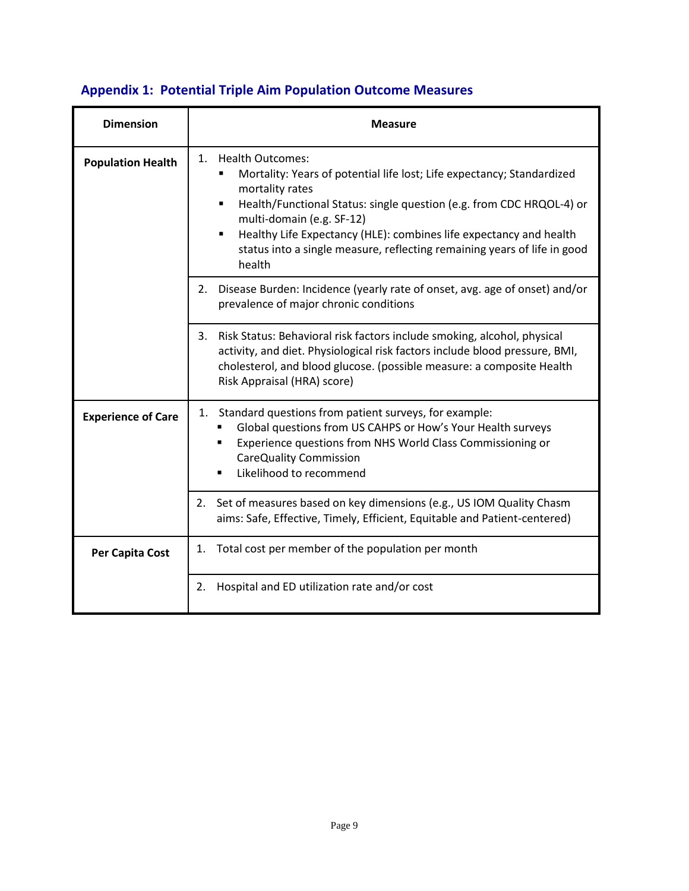# **Appendix 1: Potential Triple Aim Population Outcome Measures**

| <b>Dimension</b>          | <b>Measure</b>                                                                                                                                                                                                                                                                                                                                                                                        |  |  |  |  |  |
|---------------------------|-------------------------------------------------------------------------------------------------------------------------------------------------------------------------------------------------------------------------------------------------------------------------------------------------------------------------------------------------------------------------------------------------------|--|--|--|--|--|
| <b>Population Health</b>  | 1.<br><b>Health Outcomes:</b><br>Mortality: Years of potential life lost; Life expectancy; Standardized<br>mortality rates<br>Health/Functional Status: single question (e.g. from CDC HRQOL-4) or<br>٠<br>multi-domain (e.g. SF-12)<br>Healthy Life Expectancy (HLE): combines life expectancy and health<br>٠<br>status into a single measure, reflecting remaining years of life in good<br>health |  |  |  |  |  |
|                           | Disease Burden: Incidence (yearly rate of onset, avg. age of onset) and/or<br>2.<br>prevalence of major chronic conditions                                                                                                                                                                                                                                                                            |  |  |  |  |  |
|                           | Risk Status: Behavioral risk factors include smoking, alcohol, physical<br>3.<br>activity, and diet. Physiological risk factors include blood pressure, BMI,<br>cholesterol, and blood glucose. (possible measure: a composite Health<br>Risk Appraisal (HRA) score)                                                                                                                                  |  |  |  |  |  |
| <b>Experience of Care</b> | Standard questions from patient surveys, for example:<br>1.<br>Global questions from US CAHPS or How's Your Health surveys<br>Experience questions from NHS World Class Commissioning or<br><b>CareQuality Commission</b><br>Likelihood to recommend                                                                                                                                                  |  |  |  |  |  |
|                           | Set of measures based on key dimensions (e.g., US IOM Quality Chasm<br>2.<br>aims: Safe, Effective, Timely, Efficient, Equitable and Patient-centered)                                                                                                                                                                                                                                                |  |  |  |  |  |
| Per Capita Cost           | Total cost per member of the population per month<br>1.                                                                                                                                                                                                                                                                                                                                               |  |  |  |  |  |
|                           | Hospital and ED utilization rate and/or cost<br>2.                                                                                                                                                                                                                                                                                                                                                    |  |  |  |  |  |